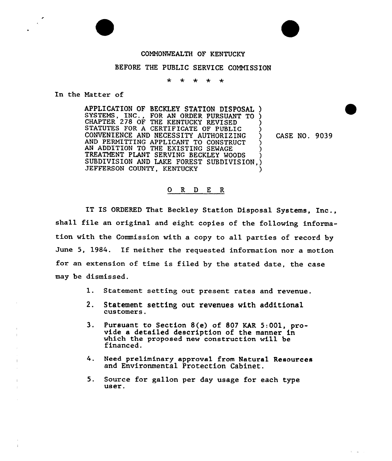## COMNONWEALTH OF KENTUCKY

## BEFORE THE PUBLIC SERVICE COMNISSION

 $\ddot{\textbf{r}}$  $\rightarrow$  $\ddot{\mathbf{r}}$  $\rightarrow$ 

In the Natter of

APPLICATION OF BECKLEY STATION DISPOSAL ) SYSTEMS, INC., FOR AN ORDER PURSUANT TO ) CHAPTER 278 OF THE KENTUCKY REVISED ( STATUTES FOR A CERTIFICATE OF PUBLIC CONVENIENCE AND NECESSITY AUTHORIZING AND PERMITTING APPLICANT TO CONSTRUCT AN ADDITION TO THE EXISTING SEWAGE TREATMENT PLANT SERVING BECKLEY WOODS SUBDIVISION AND LAKE FOREST SUBDIVISION.) JEFFERSON COUNTY, KENTUCKY

CASE NO. 9039

## 0 R <sup>D</sup> E R

IT IS ORDERED That Beckley Station Disposal Systems, Inc., shall file an original and eight copies of the following information with the Commission with a copy to all parties of record by June 5, 1984. If neither the requested information nor a motion for an extension of time is filed by the stated date, the case may be dismissed.

- 1. Statement setting out present rates and revenue.
- 2. Statement setting out revenues with additional customers.
- 3. Pursuant to Section 8(e) of 807 KAR 5:001, provide a detailed description of the manner in which the proposed new construction will be financed.
- 4. Need preliminary approval from Natural Resources and Environmental Protection Cabinet.
- 5. Source for gallon per day usage for each type user.